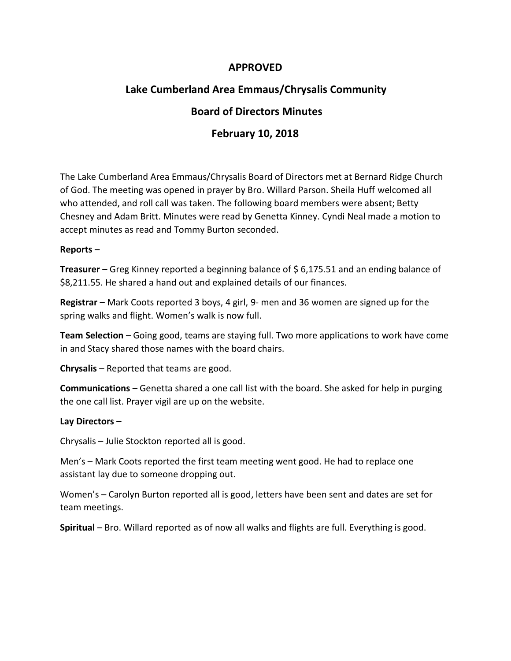### **APPROVED**

# **Lake Cumberland Area Emmaus/Chrysalis Community**

## **Board of Directors Minutes**

### **February 10, 2018**

The Lake Cumberland Area Emmaus/Chrysalis Board of Directors met at Bernard Ridge Church of God. The meeting was opened in prayer by Bro. Willard Parson. Sheila Huff welcomed all who attended, and roll call was taken. The following board members were absent; Betty Chesney and Adam Britt. Minutes were read by Genetta Kinney. Cyndi Neal made a motion to accept minutes as read and Tommy Burton seconded.

#### **Reports –**

**Treasurer** – Greg Kinney reported a beginning balance of \$ 6,175.51 and an ending balance of \$8,211.55. He shared a hand out and explained details of our finances.

**Registrar** – Mark Coots reported 3 boys, 4 girl, 9- men and 36 women are signed up for the spring walks and flight. Women's walk is now full.

**Team Selection** – Going good, teams are staying full. Two more applications to work have come in and Stacy shared those names with the board chairs.

**Chrysalis** – Reported that teams are good.

**Communications** – Genetta shared a one call list with the board. She asked for help in purging the one call list. Prayer vigil are up on the website.

### **Lay Directors –**

Chrysalis – Julie Stockton reported all is good.

Men's – Mark Coots reported the first team meeting went good. He had to replace one assistant lay due to someone dropping out.

Women's – Carolyn Burton reported all is good, letters have been sent and dates are set for team meetings.

**Spiritual** – Bro. Willard reported as of now all walks and flights are full. Everything is good.